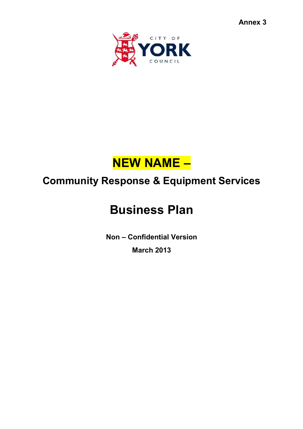



# **Community Response & Equipment Services**

# **Business Plan**

**Non – Confidential Version March 2013**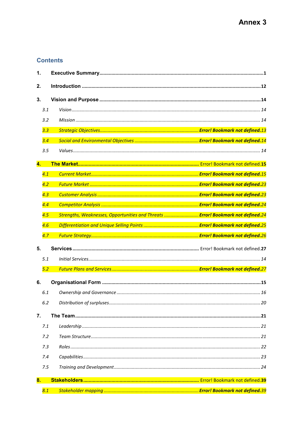# **Contents**

| 1. |            |  |                                                                                  |  |  |  |
|----|------------|--|----------------------------------------------------------------------------------|--|--|--|
|    | 2.         |  |                                                                                  |  |  |  |
| 3. |            |  |                                                                                  |  |  |  |
|    | 3.1        |  |                                                                                  |  |  |  |
|    | 3.2        |  |                                                                                  |  |  |  |
|    | 3.3        |  |                                                                                  |  |  |  |
|    | 3.4        |  |                                                                                  |  |  |  |
|    | 3.5        |  |                                                                                  |  |  |  |
| 4. |            |  |                                                                                  |  |  |  |
|    | 4.1        |  |                                                                                  |  |  |  |
|    | 4.2        |  |                                                                                  |  |  |  |
|    | 4.3        |  |                                                                                  |  |  |  |
|    | 4.4        |  |                                                                                  |  |  |  |
|    | 4.5        |  | Strengths, Weaknesses, Opportunities and Threats  Error! Bookmark not defined.24 |  |  |  |
|    | 4.6        |  |                                                                                  |  |  |  |
|    |            |  |                                                                                  |  |  |  |
|    | 4.7        |  |                                                                                  |  |  |  |
| 5. |            |  |                                                                                  |  |  |  |
|    | 5.1        |  |                                                                                  |  |  |  |
|    | 5.2        |  |                                                                                  |  |  |  |
| 6. |            |  |                                                                                  |  |  |  |
|    | 6.1        |  |                                                                                  |  |  |  |
|    | 6.2        |  |                                                                                  |  |  |  |
|    |            |  |                                                                                  |  |  |  |
| 7. |            |  |                                                                                  |  |  |  |
|    | 7.1<br>7.2 |  |                                                                                  |  |  |  |
|    | 7.3        |  |                                                                                  |  |  |  |
|    | 7.4        |  |                                                                                  |  |  |  |
|    | 7.5        |  |                                                                                  |  |  |  |
|    |            |  |                                                                                  |  |  |  |
| 8. | 8.1        |  |                                                                                  |  |  |  |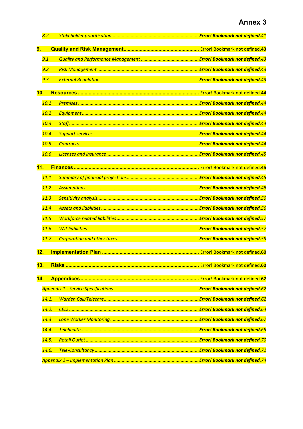|     | 8.2   |                                               |  |
|-----|-------|-----------------------------------------------|--|
| 9.  |       |                                               |  |
|     | 9.1   |                                               |  |
|     | 9.2   |                                               |  |
|     | 9.3   |                                               |  |
| 10. |       |                                               |  |
|     | 10.1  |                                               |  |
|     | 10.2  |                                               |  |
|     | 10.3  |                                               |  |
|     | 10.4  |                                               |  |
|     | 10.5  |                                               |  |
|     | 10.6  | <mark>. Error! Bookmark not defined.45</mark> |  |
| 11. |       |                                               |  |
|     | 11.1  |                                               |  |
|     | 11.2  |                                               |  |
|     |       | <b>Error! Bookmark not defined.48</b>         |  |
|     | 11.3  |                                               |  |
|     | 11.4  |                                               |  |
|     | 11.5  | <b>Error! Bookmark not defined.57</b>         |  |
|     | 11.6  |                                               |  |
|     | 11.7  |                                               |  |
| 12. |       |                                               |  |
| 13. |       |                                               |  |
| 14. |       |                                               |  |
|     |       |                                               |  |
|     | 14.1. |                                               |  |
|     | 14.2. |                                               |  |
|     | 14.3  |                                               |  |
|     | 14.4. |                                               |  |
|     | 14.5. |                                               |  |
|     | 14.6. |                                               |  |
|     |       |                                               |  |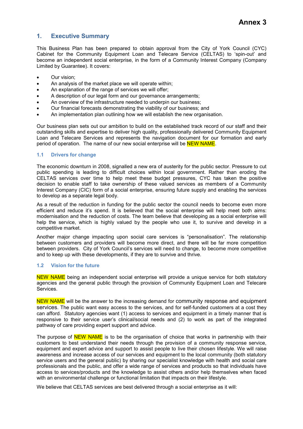# **1. Executive Summary**

This Business Plan has been prepared to obtain approval from the City of York Council (CYC) Cabinet for the Community Equipment Loan and Telecare Service (CELTAS) to 'spin-out' and become an independent social enterprise, in the form of a Community Interest Company (Company Limited by Guarantee). It covers:

- Our vision;
- An analysis of the market place we will operate within;
- An explanation of the range of services we will offer;
- A description of our legal form and our governance arrangements;
- An overview of the infrastructure needed to underpin our business;
- Our financial forecasts demonstrating the viability of our business; and
- An implementation plan outlining how we will establish the new organisation.

Our business plan sets out our ambition to build on the established track record of our staff and their outstanding skills and expertise to deliver high quality, professionally delivered Community Equipment Loan and Telecare Services and represents the navigation document for our formation and early period of operation. The name of our new social enterprise will be **NEW NAME**.

# **1.1 Drivers for change**

The economic downturn in 2008, signalled a new era of austerity for the public sector. Pressure to cut public spending is leading to difficult choices within local government. Rather than eroding the CELTAS services over time to help meet these budget pressures, CYC has taken the positive decision to enable staff to take ownership of these valued services as members of a Community Interest Company (CIC) form of a social enterprise, ensuring future supply and enabling the services to develop as a separate legal body.

As a result of the reduction in funding for the public sector the council needs to become even more efficient and reduce it's spend. It is believed that the social enterprise will help meet both aims: modernisation and the reduction of costs. The team believe that developing as a social enterprise will help the service, which is highly valued by the people who use it, to survive and develop in a competitive market.

Another major change impacting upon social care services is "personalisation". The relationship between customers and providers will become more direct, and there will be far more competition between providers. City of York Council's services will need to change, to become more competitive and to keep up with these developments, if they are to survive and thrive.

### **1.2 Vision for the future**

NEW NAME being an independent social enterprise will provide a unique service for both statutory agencies and the general public through the provision of Community Equipment Loan and Telecare Services.

NEW NAME will be the answer to the increasing demand for community response and equipment services. The public want easy access to the services, and for self-funded customers at a cost they can afford. Statutory agencies want (1) access to services and equipment in a timely manner that is responsive to their service user's clinical/social needs and (2) to work as part of the integrated pathway of care providing expert support and advice.

The purpose of **NEW NAME** is to be the organisation of choice that works in partnership with their customers to best understand their needs through the provision of a community response service, equipment and expert advice and support to assist people to live their chosen lifestyle. We will raise awareness and increase access of our services and equipment to the local community (both statutory service users and the general public) by sharing our specialist knowledge with health and social care professionals and the public, and offer a wide range of services and products so that individuals have access to services/products and the knowledge to assist others and/or help themselves when faced with an environmental challenge or functional limitation that impacts on their lifestyle.

We believe that CELTAS services are best delivered through a social enterprise as it will: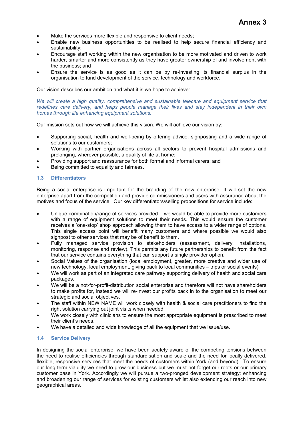- Make the services more flexible and responsive to client needs;
- Enable new business opportunities to be realised to help secure financial efficiency and sustainability;
- Encourage staff working within the new organisation to be more motivated and driven to work harder, smarter and more consistently as they have greater ownership of and involvement with the business; and
- Ensure the service is as good as it can be by re-investing its financial surplus in the organisation to fund development of the service, technology and workforce.

Our vision describes our ambition and what it is we hope to achieve:

*We will create a high quality, comprehensive and sustainable telecare and equipment service that redefines care delivery, and helps people manage their lives and stay independent in their own homes through life enhancing equipment solutions.* 

Our mission sets out how we will achieve this vision. We will achieve our vision by:

- Supporting social, health and well-being by offering advice, signposting and a wide range of solutions to our customers;
- Working with partner organisations across all sectors to prevent hospital admissions and prolonging, wherever possible, a quality of life at home;
- Providing support and reassurance for both formal and informal carers; and
- Being committed to equality and fairness.

# **1.3 Differentiators**

Being a social enterprise is important for the branding of the new enterprise. It will set the new enterprise apart from the competition and provide commissioners and users with assurance about the motives and focus of the service. Our key differentiators/selling propositions for service include:

- Unique combination/range of services provided we would be able to provide more customers with a range of equipment solutions to meet their needs. This would ensure the customer receives a 'one-stop' shop approach allowing them to have access to a wider range of options. This single access point will benefit many customers and where possible we would also signpost to other services that may be of benefit to them.
- Fully managed service provision to stakeholders (assessment, delivery, installations, monitoring, response and review). This permits any future partnerships to benefit from the fact that our service contains everything that can support a single provider option.
- Social Values of the organisation (local employment, greater, more creative and wider use of new technology, local employment, giving back to local communities – trips or social events)
- We will work as part of an integrated care pathway supporting delivery of health and social care packages.
- We will be a not-for-profit-distribution social enterprise and therefore will not have shareholders to make profits for, instead we will re-invest our profits back in to the organisation to meet our strategic and social objectives.
- The staff within NEW NAME will work closely with health & social care practitioners to find the right solution carrying out joint visits when needed.
- We work closely with clinicians to ensure the most appropriate equipment is prescribed to meet their client's needs.
- We have a detailed and wide knowledge of all the equipment that we issue/use.

# **1.4 Service Delivery**

In designing the social enterprise, we have been acutely aware of the competing tensions between the need to realise efficiencies through standardisation and scale and the need for locally delivered, flexible, responsive services that meet the needs of customers within York (and beyond). To ensure our long term viability we need to grow our business but we must not forget our roots or our primary customer base in York. Accordingly we will pursue a two-pronged development strategy: enhancing and broadening our range of services for existing customers whilst also extending our reach into new geographical areas.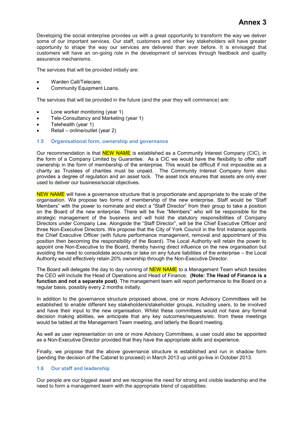Developing the social enterprise provides us with a great opportunity to transform the way we deliver some of our important services. Our staff, customers and other key stakeholders will have greater opportunity to shape the way our services are delivered than ever before. It is envisaged that customers will have an on-going role in the development of services through feedback and quality assurance mechanisms.

The services that will be provided initially are:

- Warden Call/Telecare;
- Community Equipment Loans.

The services that will be provided in the future (and the year they will commence) are:

- Lone worker monitoring (year 1)
- Tele-Consultancy and Marketing (year 1)
- Telehealth (year 1)
- Retail online/outlet (year 2)

#### **1.5 Organisational form, ownership and governance**

Our recommendation is that **NEW NAME** is established as a Community Interest Company (CIC), in the form of a Company Limited by Guarantee. As a CIC we would have the flexibility to offer staff ownership in the form of membership of the enterprise. This would be difficult if not impossible as a charity as Trustees of charities must be unpaid. The Community Interest Company form also provides a degree of regulation and an asset lock. The asset lock ensures that assets are only ever used to deliver our business/social objectives.

NEW NAME will have a governance structure that is proportionate and appropriate to the scale of the organisation. We propose two forms of membership of the new enterprise. Staff would be "Staff Members" with the power to nominate and elect a "Staff Director" from their group to take a position on the Board of the new enterprise. There will be five "Members" who will be responsible for the strategic management of the business and will hold the statutory responsibilities of Company Directors under Company Law. Alongside the "Staff Director", will be the Chief Executive Officer and three Non-Executive Directors. We propose that the City of York Council in the first instance appoints the Chief Executive Officer (with future performance management, removal and appointment of this position then becoming the responsibility of the Board). The Local Authority will retain the power to appoint one Non-Executive to the Board, thereby having direct influence on the new organisation but avoiding the need to consolidate accounts or take on any future liabilities of the enterprise – the Local Authority would effectively retain 20% ownership through the Non-Executive Director.

The Board will delegate the day to day running of NEW NAME to a Management Team which besides the CEO will include the Head of Operations and Head of Finance. **(Note: The Head of Finance is a function and not a separate post)**. The management team will report performance to the Board on a regular basis, possibly every 2 months initially.

In addition to the governance structure proposed above, one or more Advisory Committees will be established to enable different key stakeholders/stakeholder groups, including users, to be involved and have their input to the new organisation. Whilst these committees would not have any formal decision making abilities, we anticipate that any key outcomes/requests/etc. from these meetings would be tabled at the Management Team meeting, and latterly the Board meeting.

As well as user representation on one or more Advisory Committees, a user could also be appointed as a Non-Executive Director provided that they have the appropriate skills and experience.

Finally, we propose that the above governance structure is established and run in shadow form (pending the decision of the Cabinet to proceed) in March 2013 up until go-live in October 2013.

# **1.6 Our staff and leadership**

Our people are our biggest asset and we recognise the need for strong and visible leadership and the need to form a management team with the appropriate blend of capabilities.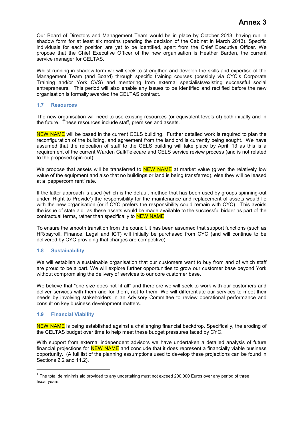Our Board of Directors and Management Team would be in place by October 2013, having run in shadow form for at least six months (pending the decision of the Cabinet in March 2013). Specific individuals for each position are yet to be identified, apart from the Chief Executive Officer. We propose that the Chief Executive Officer of the new organisation is Heather Barden, the current service manager for CELTAS.

Whilst running in shadow form we will seek to strengthen and develop the skills and expertise of the Management Team (and Board) through specific training courses (possibly via CYC's Corporate Training and/or York CVS) and mentoring from external specialists/existing successful social entrepreneurs. This period will also enable any issues to be identified and rectified before the new organisation is formally awarded the CELTAS contract.

# **1.7 Resources**

The new organisation will need to use existing resources (or equivalent levels of) both initially and in the future. These resources include staff, premises and assets.

NEW NAME will be based in the current CELS building. Further detailed work is required to plan the reconfiguration of the building, and agreement from the landlord is currently being sought. We have assumed that the relocation of staff to the CELS building will take place by April '13 as this is a requirement of the current Warden Call/Telecare and CELS service review process (and is not related to the proposed spin-out);

We propose that assets will be transferred to **NEW NAME** at market value (given the relatively low value of the equipment and also that no buildings or land is being transferred), else they will be leased at a 'peppercorn rent' rate.

If the latter approach is used (which is the default method that has been used by groups spinning-out under 'Right to Provide') the responsibility for the maintenance and replacement of assets would lie with the new organisation (or if CYC prefers the responsibility could remain with CYC). This avoids the issue of state aid  $1$  as these assets would be made available to the successful bidder as part of the contractual terms, rather than specifically to NEW NAME.

To ensure the smooth transition from the council, it has been assumed that support functions (such as HR/payroll, Finance, Legal and ICT) will initially be purchased from CYC (and will continue to be delivered by CYC providing that charges are competitive).

# **1.8 Sustainability**

We will establish a sustainable organisation that our customers want to buy from and of which staff are proud to be a part. We will explore further opportunities to grow our customer base beyond York without compromising the delivery of services to our core customer base.

We believe that "one size does not fit all" and therefore we will seek to work with our customers and deliver services with them and for them, not to them. We will differentiate our services to meet their needs by involving stakeholders in an Advisory Committee to review operational performance and consult on key business development matters.

#### **1.9 Financial Viability**

l

NEW NAME is being established against a challenging financial backdrop. Specifically, the eroding of the CELTAS budget over time to help meet these budget pressures faced by CYC.

With support from external independent advisors we have undertaken a detailed analysis of future financial projections for **NEW NAME** and conclude that it does represent a financially viable business opportunity. (A full list of the planning assumptions used to develop these projections can be found in Sections 2.2 and 11.2).

 $^{\text{1}}$  The total de minimis aid provided to any undertaking must not exceed 200,000 Euros over any period of three fiscal years.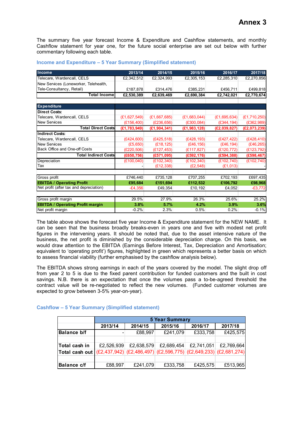The summary five year forecast Income & Expenditure and Cashflow statements, and monthly Cashflow statement for year one, for the future social enterprise are set out below with further commentary following each table.

| Income                                  | 2013/14        | 2014/15        | 2015/16        | 2016/17        | 2017/18        |
|-----------------------------------------|----------------|----------------|----------------|----------------|----------------|
| Telecare, Wardencall, CELS              | £2,342,512     | £2,324,993     | £2,305,153     | £2,285,310     | £2,270,856     |
| New Services (Loneworker, Telehealth,   |                |                |                |                |                |
| Tele-Consultancy, Retail)               | £187,878       | £314,476       | £385,231       | £456,711       | £499,818       |
| <b>Total Income</b>                     | £2,530,389     | £2,639,469     | £2,690,384     | £2,742,021     | £2,770,674     |
| <b>Expenditure</b>                      |                |                |                |                |                |
| <b>Direct Costs:</b>                    |                |                |                |                |                |
| Telecare, Wardencall, CELS              | (E1, 627, 549) | (E1, 667, 685) | (E1, 683, 044) | (E1, 695, 634) | (E1, 710, 250) |
| <b>New Services</b>                     | (E156, 400)    | (E236, 656)    | (E300, 084)    | (E344, 194)    | (E362,989)     |
| <b>Total Direct Costs</b>               | (E1, 783, 949) | (E1, 904, 341) | (E1, 983, 128) | (E2,039,827)   | (E2,073,239)   |
| <b>Indirect Costs:</b>                  |                |                |                |                |                |
| Telecare, Wardencall, CELS              | (E424,600)     | (E425, 518)    | (E428, 193)    | (E427, 422)    | (E428, 410)    |
| <b>New Services</b>                     | (E5, 650)      | (E18, 125)     | (E46, 156)     | (E46, 194)     | (E46, 265)     |
| Back Office and One-off Costs           | (E220, 506)    | (E127, 453)    | (E117, 827)    | (E120, 772)    | (E123, 792)    |
| <b>Total Indirect Costs</b>             | (E650, 756)    | (E571,095)     | (E592, 176)    | (E594, 388)    | (E598, 467)    |
| Depreciation                            | (E100, 040)    | (E102, 340)    | (E102, 340)    | (E102, 740)    | (E102, 740)    |
| Tax                                     |                | (E12, 338)     | (E2, 548)      | (E1,013)       |                |
| Gross profit                            | £746,440       | £735,128       | £707,255       | £702,193       | £697,435       |
| <b>EBITDA / Operating Profit</b>        | £95.684        | £151.694       | £112.532       | £106,792       | £98,968        |
| Net profit (after tax and depreciation) | $-£4,356$      | £49,354        | £10,192        | £4,052         | $-£3,772$      |
| Gross profit margin                     | 29.5%          | 27.9%          | 26.3%          | 25.6%          | 25.2%          |
| <b>EBITDA / Operating Profit margin</b> | 3.8%           | 5.7%           | 4.2%           | 3.9%           | 3.6%           |
| Net profit margin                       | $-0.2%$        | 2.3%           | 0.5%           | 0.2%           | $-0.1%$        |

# **Income and Expenditure – 5 Year Summary (Simplified statement)**

The table above shows the forecast five year Income & Expenditure statement for the NEW NAME. It can be seen that the business broadly breaks-even in years one and five with modest net profit figures in the intervening years. It should be noted that, due to the asset intensive nature of the business, the net profit is diminished by the considerable depreciation charge. On this basis, we would draw attention to the EBITDA (Earnings Before Interest, Tax, Depreciation and Amortisation; equivalent to 'operating profit') figures, highlighted in green which represents a better basis on which to assess financial viability (further emphasised by the cashflow analysis below).

The EBITDA shows strong earnings in each of the years covered by the model. The slight drop off from year 2 to 5 is due to the fixed parent contribution for funded customers and the built in cost savings. N.B. there is an expectation that once the volumes pass a to-be-agreed threshold the contract value will be re-negotiated to reflect the new volumes. (Funded customer volumes are expected to grow between 3-5% year-on-year).

# **Cashflow – 5 Year Summary (Simplified statement)**

|                                                                                 |            | <b>5 Year Summary</b> |            |            |            |  |  |  |
|---------------------------------------------------------------------------------|------------|-----------------------|------------|------------|------------|--|--|--|
|                                                                                 | 2013/14    | 2014/15               | 2015/16    | 2016/17    | 2017/18    |  |  |  |
| <b>Balance b/f</b>                                                              |            | £88,997               | £241,079   | £333,758   | £425,575   |  |  |  |
| Total cash in                                                                   | £2,526,939 | £2,638,579            | £2,689,454 | £2,741,051 | £2,769,664 |  |  |  |
| Total cash out (£2,437,942) (£2,486,497) (£2,596,775) (£2,649,233) (£2,681,274) |            |                       |            |            |            |  |  |  |
| <b>Balance c/f</b>                                                              | £88,997    | £241,079              | £333,758   | £425,575   | £513,965   |  |  |  |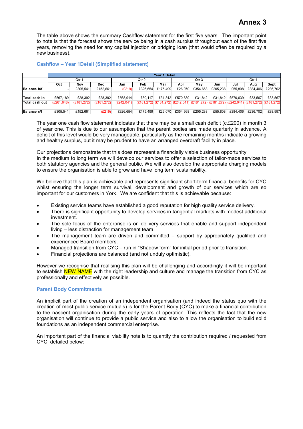The table above shows the summary Cashflow statement for the first five years. The important point to note is that the forecast shows the service being in a cash surplus throughout each of the first five years, removing the need for any capital injection or bridging loan (that would often be required by a new business).

# **Cashflow – Year 1Detail (Simplified statement)**

|                    |             | Year 1 Detail |             |             |          |          |          |          |          |                                                                                         |          |          |
|--------------------|-------------|---------------|-------------|-------------|----------|----------|----------|----------|----------|-----------------------------------------------------------------------------------------|----------|----------|
|                    |             | Qtr 1         |             | Qtr 2       |          | Qtr 3    |          |          | Qtr 4    |                                                                                         |          |          |
|                    | Oct         | Nov           | <b>Dec</b>  | Jan         | Feb      | Mar      | Apr      | Mav      | Jun      | Jul                                                                                     | Aug      | Sept     |
| <b>Balance b/f</b> |             | £305.541      | £152.661    | (E219)      | £326.654 | £175.499 | £26,070  | £354.668 | £205.238 | £55.808                                                                                 | £384.406 | £236.702 |
|                    |             |               |             |             |          |          |          |          |          |                                                                                         |          |          |
| lTotal cash in     | £567.189    | £28.392       | £28.392     | £568.914    | £30.117  | £31.842  | £570.639 | £31.842  | £31.842  | £570.639                                                                                | £33.567  | £33.567  |
| Total cash out     | (E261, 648) | (E181, 272)   | (E181, 272) | (E242, 041) |          |          |          |          |          | (£181,272) (£181,272) (£242,041) (£181,272) (£181,272) (£242,041) (£181,272) (£181,272) |          |          |
|                    |             |               |             |             |          |          |          |          |          |                                                                                         |          |          |
| Balance c/f        | £305.541    | £152.661      | (E219)      | £326.654    | £175.499 | £26.070  | £354.668 | £205.238 | £55.808  | £384.406                                                                                | £236.702 | £88.997  |

The year one cash flow statement indicates that there may be a small cash deficit (c.£200) in month 3 of year one. This is due to our assumption that the parent bodies are made quarterly in advance. A deficit of this level would be very manageable, particularly as the remaining months indicate a growing and healthy surplus, but it may be prudent to have an arranged overdraft facility in place.

Our projections demonstrate that this does represent a financially viable business opportunity. In the medium to long term we will develop our services to offer a selection of tailor-made services to both statutory agencies and the general public. We will also develop the appropriate charging models to ensure the organisation is able to grow and have long term sustainability.

We believe that this plan is achievable and represents significant short-term financial benefits for CYC whilst ensuring the longer term survival, development and growth of our services which are so important for our customers in York. We are confident that this is achievable because:

- Existing service teams have established a good reputation for high quality service delivery.
- There is significant opportunity to develop services in tangential markets with modest additional investment.
- The sole focus of the enterprise is on delivery services that enable and support independent living – less distraction for management team.
- The management team are driven and committed support by appropriately qualified and experienced Board members.
- Managed transition from CYC run in "Shadow form" for initial period prior to transition.
- Financial projections are balanced (and not unduly optimistic).

However we recognise that realising this plan will be challenging and accordingly it will be important to establish **NEW NAME** with the right leadership and culture and manage the transition from CYC as professionally and effectively as possible.

# **Parent Body Commitments**

An implicit part of the creation of an independent organisation (and indeed the status quo with the creation of most public service mutuals) is for the Parent Body (CYC) to make a financial contribution to the nascent organisation during the early years of operation. This reflects the fact that the new organisation will continue to provide a public service and also to allow the organisation to build solid foundations as an independent commercial enterprise.

An important part of the financial viability note is to quantify the contribution required / requested from CYC, detailed below: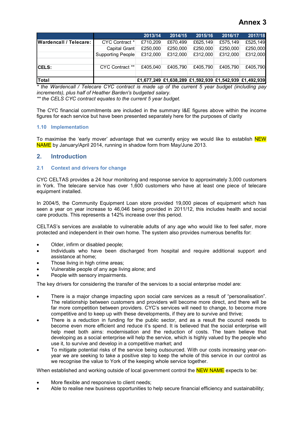|                        |                        | 2013/14  | 2014/15  | 2015/16  | 2016/17  | 2017/18                                                |
|------------------------|------------------------|----------|----------|----------|----------|--------------------------------------------------------|
| Wardencall / Telecare: | CYC Contract *         | £710,209 | £670.499 | £625.149 | £575,149 | £525,149                                               |
|                        | Capital Grant          | £250,000 | £250,000 | £250,000 | £250,000 | £250,000                                               |
|                        | Supporting People      | £312,000 | £312,000 | £312,000 | £312,000 | £312,000                                               |
|                        |                        |          |          |          |          |                                                        |
| <b>CELS:</b>           | <b>CYC Contract **</b> | £405.040 | £405.790 | £405.790 | £405.790 | £405.790                                               |
|                        |                        |          |          |          |          |                                                        |
| <b>Total</b>           |                        |          |          |          |          | £1,677,249 £1,638,289 £1,592,939 £1,542,939 £1,492,939 |

*\* the Wardencall / Telecare CYC contract is made up of the current 5 year budget (including pay increments), plus half of Heather Barden's budgeted salary.* 

*\*\* the CELS CYC contract equates to the current 5 year budget.* 

The CYC financial commitments are included in the summary I&E figures above within the income figures for each service but have been presented separately here for the purposes of clarity

# **1.10 Implementation**

To maximise the 'early mover' advantage that we currently enjoy we would like to establish NEW NAME by January/April 2014, running in shadow form from May/June 2013.

# **2. Introduction**

# **2.1 Context and drivers for change**

CYC CELTAS provides a 24 hour monitoring and response service to approximately 3,000 customers in York. The telecare service has over 1,600 customers who have at least one piece of telecare equipment installed.

In 2004/5, the Community Equipment Loan store provided 19,000 pieces of equipment which has seen a year on year increase to 46,046 being provided in 2011/12, this includes health and social care products. This represents a 142% increase over this period.

CELTAS's services are available to vulnerable adults of any age who would like to feel safer, more protected and independent in their own home. The system also provides numerous benefits for:

- Older, infirm or disabled people;
- Individuals who have been discharged from hospital and require additional support and assistance at home;
- Those living in high crime areas;
- Vulnerable people of any age living alone; and
- People with sensory impairments.

The key drivers for considering the transfer of the services to a social enterprise model are:

- There is a major change impacting upon social care services as a result of "personalisation". The relationship between customers and providers will become more direct, and there will be far more competition between providers. CYC's services will need to change, to become more competitive and to keep up with these developments, if they are to survive and thrive;
- There is a reduction in funding for the public sector, and as a result the council needs to become even more efficient and reduce it's spend. It is believed that the social enterprise will help meet both aims: modernisation and the reduction of costs. The team believe that developing as a social enterprise will help the service, which is highly valued by the people who use it, to survive and develop in a competitive market; and
- To mitigate potential risks of the service being outsourced. With our costs increasing year-onyear we are seeking to take a positive step to keep the whole of this service in our control as we recognise the value to York of the keeping whole service together.

When established and working outside of local government control the NEW NAME expects to be:

- More flexible and responsive to client needs;
- Able to realise new business opportunities to help secure financial efficiency and sustainability;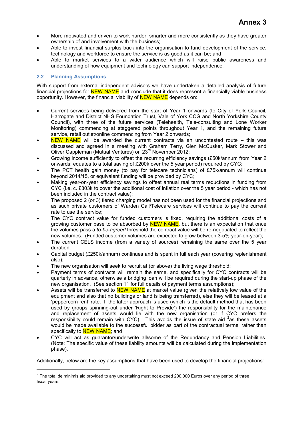- More motivated and driven to work harder, smarter and more consistently as they have greater ownership of and involvement with the business;
- Able to invest financial surplus back into the organisation to fund development of the service, technology and workforce to ensure the service is as good as it can be; and
- Able to market services to a wider audience which will raise public awareness and understanding of how equipment and technology can support independence.

# **2.2 Planning Assumptions**

l

With support from external independent advisors we have undertaken a detailed analysis of future financial projections for **NEW NAME** and conclude that it does represent a financially viable business opportunity. However, the financial viability of **NEW NAME** depends on:

- Current services being delivered from the start of Year 1 onwards (to City of York Council, Harrogate and District NHS Foundation Trust, Vale of York CCG and North Yorkshire County Council), with three of the future services (Telehealth, Tele-consulting and Lone Worker Monitoring) commencing at staggered points throughout Year 1, and the remaining future service, retail outlet/online commencing from Year 2 onwards;
- NEW NAME will be awarded the current contracts via an uncontested route  $-$  this was discussed and agreed in a meeting with Graham Terry, Glen McCusker, Mark Stower and Oliver Cappleman (Mutual Ventures) on 23rd November 2012;
- Growing income sufficiently to offset the recurring efficiency savings (£50k/annum from Year 2 onwards; equates to a total saving of £200k over the 5 year period) required by CYC;
- The PCT health gain money (to pay for telecare technicians) of £75k/annum will continue beyond 2014/15, or equivalent funding will be provided by CYC;
- Making year-on-year efficiency savings to offset annual real terms reductions in funding from CYC (i.e. c. £303k to cover the additional cost of inflation over the 5 year period - which has not been included in the contract value);
- The proposed 2 (or 3) tiered charging model has not been used for the financial projections and as such private customers of Warden Call/Telecare services will continue to pay the current rate to use the service;
- The CYC contract value for funded customers is fixed, requiring the additional costs of a growing customer base to be absorbed by **NEW NAME**, but there is an expectation that once the volumes pass a *to-be-agreed* threshold the contract value will be re-negotiated to reflect the new volumes. (Funded customer volumes are expected to grow between 3-5% year-on-year);
- The current CELS income (from a variety of sources) remaining the same over the 5 year duration;
- Capital budget (£250k/annum) continues and is spent in full each year (covering replenishment also);
- The new organisation will seek to recruit at (or above) the living wage threshold;
- Payment terms of contracts will remain the same, and specifically for CYC contracts will be quarterly in advance, otherwise a bridging loan will be required during the start-up phase of the new organisation. (See section 11 for full details of payment terms assumptions);
- Assets will be transferred to **NEW NAME** at market value (given the relatively low value of the equipment and also that no buildings or land is being transferred), else they will be leased at a 'peppercorn rent' rate. If the latter approach is used (which is the default method that has been used by groups spinning-out under 'Right to Provide') the responsibility for the maintenance and replacement of assets would lie with the new organisation (or if CYC prefers the responsibility could remain with CYC). This avoids the issue of state aid  $2$  as these assets would be made available to the successful bidder as part of the contractual terms, rather than specifically to **NEW NAME**; and
- CYC will act as guarantor/underwrite all/some of the Redundancy and Pension Liabilities. (Note: The specific value of these liability amounts will be calculated during the implementation phase).

Additionally, below are the key assumptions that have been used to develop the financial projections:

 $2$  The total de minimis aid provided to any undertaking must not exceed 200,000 Euros over any period of three fiscal years.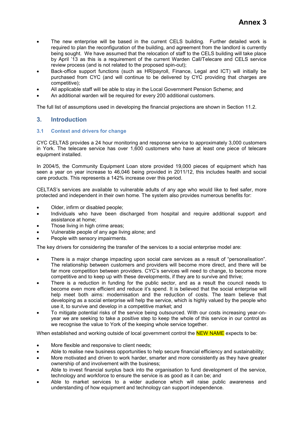- The new enterprise will be based in the current CELS building. Further detailed work is required to plan the reconfiguration of the building, and agreement from the landlord is currently being sought. We have assumed that the relocation of staff to the CELS building will take place by April '13 as this is a requirement of the current Warden Call/Telecare and CELS service review process (and is not related to the proposed spin-out);
- Back-office support functions (such as HR/payroll, Finance, Legal and ICT) will initially be purchased from CYC (and will continue to be delivered by CYC providing that charges are competitive);
- All applicable staff will be able to stay in the Local Government Pension Scheme; and
- An additional warden will be required for every 200 additional customers.

The full list of assumptions used in developing the financial projections are shown in Section 11.2.

# **3. Introduction**

# **3.1 Context and drivers for change**

CYC CELTAS provides a 24 hour monitoring and response service to approximately 3,000 customers in York. The telecare service has over 1,600 customers who have at least one piece of telecare equipment installed.

In 2004/5, the Community Equipment Loan store provided 19,000 pieces of equipment which has seen a year on year increase to 46,046 being provided in 2011/12, this includes health and social care products. This represents a 142% increase over this period.

CELTAS's services are available to vulnerable adults of any age who would like to feel safer, more protected and independent in their own home. The system also provides numerous benefits for:

- Older, infirm or disabled people;
- Individuals who have been discharged from hospital and require additional support and assistance at home;
- Those living in high crime areas;
- Vulnerable people of any age living alone; and
- People with sensory impairments.

The key drivers for considering the transfer of the services to a social enterprise model are:

- There is a major change impacting upon social care services as a result of "personalisation". The relationship between customers and providers will become more direct, and there will be far more competition between providers. CYC's services will need to change, to become more competitive and to keep up with these developments, if they are to survive and thrive;
- There is a reduction in funding for the public sector, and as a result the council needs to become even more efficient and reduce it's spend. It is believed that the social enterprise will help meet both aims: modernisation and the reduction of costs. The team believe that developing as a social enterprise will help the service, which is highly valued by the people who use it, to survive and develop in a competitive market; and
- To mitigate potential risks of the service being outsourced. With our costs increasing year-onyear we are seeking to take a positive step to keep the whole of this service in our control as we recognise the value to York of the keeping whole service together.

When established and working outside of local government control the NEW NAME expects to be:

- More flexible and responsive to client needs;
- Able to realise new business opportunities to help secure financial efficiency and sustainability;
- More motivated and driven to work harder, smarter and more consistently as they have greater ownership of and involvement with the business;
- Able to invest financial surplus back into the organisation to fund development of the service, technology and workforce to ensure the service is as good as it can be; and
- Able to market services to a wider audience which will raise public awareness and understanding of how equipment and technology can support independence.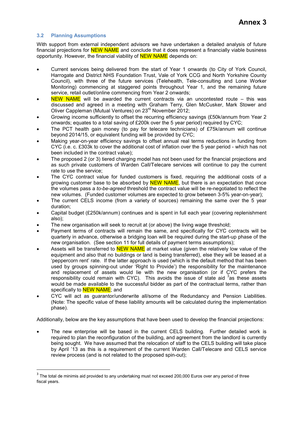# **3.2 Planning Assumptions**

l

With support from external independent advisors we have undertaken a detailed analysis of future financial projections for **NEW NAME** and conclude that it does represent a financially viable business opportunity. However, the financial viability of **NEW NAME** depends on:

- Current services being delivered from the start of Year 1 onwards (to City of York Council, Harrogate and District NHS Foundation Trust, Vale of York CCG and North Yorkshire County Council), with three of the future services (Telehealth, Tele-consulting and Lone Worker Monitoring) commencing at staggered points throughout Year 1, and the remaining future service, retail outlet/online commencing from Year 2 onwards;
- NEW NAME will be awarded the current contracts via an uncontested route  $-$  this was discussed and agreed in a meeting with Graham Terry, Glen McCusker, Mark Stower and Oliver Cappleman (Mutual Ventures) on 23<sup>rd</sup> November 2012;
- Growing income sufficiently to offset the recurring efficiency savings (£50k/annum from Year 2 onwards; equates to a total saving of £200k over the 5 year period) required by CYC;
- The PCT health gain money (to pay for telecare technicians) of £75k/annum will continue beyond 2014/15, or equivalent funding will be provided by CYC;
- Making year-on-year efficiency savings to offset annual real terms reductions in funding from CYC (i.e. c. £303k to cover the additional cost of inflation over the 5 year period - which has not been included in the contract value);
- The proposed 2 (or 3) tiered charging model has not been used for the financial projections and as such private customers of Warden Call/Telecare services will continue to pay the current rate to use the service;
- The CYC contract value for funded customers is fixed, requiring the additional costs of a growing customer base to be absorbed by **NEW NAME**, but there is an expectation that once the volumes pass a *to-be-agreed* threshold the contract value will be re-negotiated to reflect the new volumes. (Funded customer volumes are expected to grow between 3-5% year-on-year);
- The current CELS income (from a variety of sources) remaining the same over the 5 year duration;
- Capital budget (£250k/annum) continues and is spent in full each year (covering replenishment also);
- The new organisation will seek to recruit at (or above) the living wage threshold;
- Payment terms of contracts will remain the same, and specifically for CYC contracts will be quarterly in advance, otherwise a bridging loan will be required during the start-up phase of the new organisation. (See section 11 for full details of payment terms assumptions);
- Assets will be transferred to **NEW NAME** at market value (given the relatively low value of the equipment and also that no buildings or land is being transferred), else they will be leased at a 'peppercorn rent' rate. If the latter approach is used (which is the default method that has been used by groups spinning-out under 'Right to Provide') the responsibility for the maintenance and replacement of assets would lie with the new organisation (or if CYC prefers the responsibility could remain with CYC). This avoids the issue of state aid  $3$  as these assets would be made available to the successful bidder as part of the contractual terms, rather than specifically to **NEW NAME**; and
- CYC will act as guarantor/underwrite all/some of the Redundancy and Pension Liabilities. (Note: The specific value of these liability amounts will be calculated during the implementation phase).

Additionally, below are the key assumptions that have been used to develop the financial projections:

• The new enterprise will be based in the current CELS building. Further detailed work is required to plan the reconfiguration of the building, and agreement from the landlord is currently being sought. We have assumed that the relocation of staff to the CELS building will take place by April '13 as this is a requirement of the current Warden Call/Telecare and CELS service review process (and is not related to the proposed spin-out);

 $3$  The total de minimis aid provided to any undertaking must not exceed 200,000 Euros over any period of three fiscal years.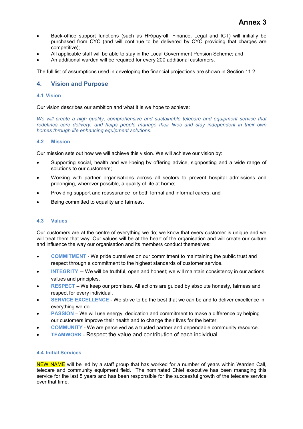- Back-office support functions (such as HR/payroll, Finance, Legal and ICT) will initially be purchased from CYC (and will continue to be delivered by CYC providing that charges are competitive);
- All applicable staff will be able to stay in the Local Government Pension Scheme; and
- An additional warden will be required for every 200 additional customers.

The full list of assumptions used in developing the financial projections are shown in Section 11.2.

# **4. Vision and Purpose**

### **4.1 Vision**

Our vision describes our ambition and what it is we hope to achieve:

*We will create a high quality, comprehensive and sustainable telecare and equipment service that redefines care delivery, and helps people manage their lives and stay independent in their own homes through life enhancing equipment solutions.* 

# **4.2 Mission**

Our mission sets out how we will achieve this vision. We will achieve our vision by:

- Supporting social, health and well-being by offering advice, signposting and a wide range of solutions to our customers;
- Working with partner organisations across all sectors to prevent hospital admissions and prolonging, wherever possible, a quality of life at home;
- Providing support and reassurance for both formal and informal carers; and
- Being committed to equality and fairness.

# **4.3 Values**

Our customers are at the centre of everything we do; we know that every customer is unique and we will treat them that way. Our values will be at the heart of the organisation and will create our culture and influence the way our organisation and its members conduct themselves:

- **COMMITMENT** We pride ourselves on our commitment to maintaining the public trust and respect through a commitment to the highest standards of customer service.
- **INTEGRITY** We will be truthful, open and honest; we will maintain consistency in our actions, values and principles.
- **RESPECT** We keep our promises. All actions are guided by absolute honesty, fairness and respect for every individual.
- **SERVICE EXCELLENCE** We strive to be the best that we can be and to deliver excellence in everything we do.
- **PASSION**  We will use energy, dedication and commitment to make a difference by helping our customers improve their health and to change their lives for the better.
- **COMMUNITY** We are perceived as a trusted partner and dependable community resource.
- **TEAMWORK** Respect the value and contribution of each individual.

#### **4.4 Initial Services**

NEW NAME will be led by a staff group that has worked for a number of years within Warden Call, telecare and community equipment field. The nominated Chief executive has been managing this service for the last 5 years and has been responsible for the successful growth of the telecare service over that time.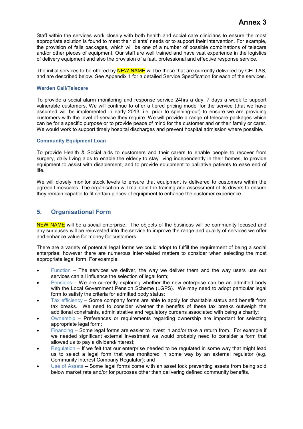Staff within the services work closely with both health and social care clinicians to ensure the most appropriate solution is found to meet their clients' needs or to support their intervention. For example, the provision of falls packages, which will be one of a number of possible combinations of telecare and/or other pieces of equipment. Our staff are well trained and have vast experience in the logistics of delivery equipment and also the provision of a fast, professional and effective response service.

The initial services to be offered by **NEW NAME** will be those that are currently delivered by CELTAS, and are described below. See Appendix 1 for a detailed Service Specification for each of the services.

# **Warden Call/Telecare**

To provide a social alarm monitoring and response service 24hrs a day, 7 days a week to support vulnerable customers. We will continue to offer a tiered pricing model for the service (that we have assumed will be implemented in early 2013, i.e. prior to spinning-out) to ensure we are providing customers with the level of service they require. We will provide a range of telecare packages which can be for a specific purpose or to provide peace of mind for the customer and or their family or carer. We would work to support timely hospital discharges and prevent hospital admission where possible.

#### **Community Equipment Loan**

To provide Health & Social aids to customers and their carers to enable people to recover from surgery, daily living aids to enable the elderly to stay living independently in their homes, to provide equipment to assist with disablement, and to provide equipment to palliative patients to ease end of life.

We will closely monitor stock levels to ensure that equipment is delivered to customers within the agreed timescales. The organisation will maintain the training and assessment of its drivers to ensure they remain capable to fit certain pieces of equipment to enhance the customer experience.

# **5. Organisational Form**

NEW NAME will be a social enterprise. The objects of the business will be community focused and any surpluses will be reinvested into the service to improve the range and quality of services we offer and enhance value for money for customers.

There are a variety of potential legal forms we could adopt to fulfill the requirement of being a social enterprise; however there are numerous inter-related matters to consider when selecting the most appropriate legal form. For example:

- Function  $-$  The services we deliver, the way we deliver them and the way users use our services can all influence the selection of legal form;
- Pensions We are currently exploring whether the new enterprise can be an admitted body with the Local Government Pension Scheme (LGPS). We may need to adopt particular legal form to satisfy the criteria for admitted body status;
- Tax efficiency Some company forms are able to apply for charitable status and benefit from tax breaks. We need to consider whether the benefits of these tax breaks outweigh the additional constraints, administrative and regulatory burdens associated with being a charity;
- Ownership Preferences or requirements regarding ownership are important for selecting appropriate legal form;
- Financing Some legal forms are easier to invest in and/or take a return from. For example if we needed significant external investment we would probably need to consider a form that allowed us to pay a dividend/interest;
- Regulation If we felt that our enterprise needed to be regulated in some way that might lead us to select a legal form that was monitored in some way by an external regulator (e.g. Community Interest Company Regulator); and
- Use of Assets Some legal forms come with an asset lock preventing assets from being sold below market rate and/or for purposes other than delivering defined community benefits.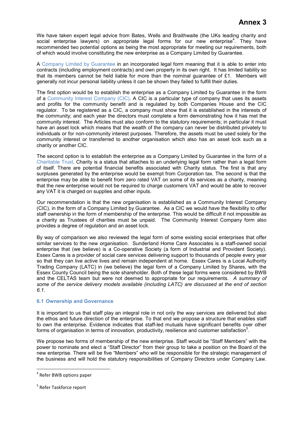We have taken expert legal advice from Bates, Wells and Braithwaite (the UKs leading charity and social enterprise lawyers) on appropriate legal forms for our new enterprise<sup>4</sup>. They have recommended two potential options as being the most appropriate for meeting our requirements, both of which would involve constituting the new enterprise as a Company Limited by Guarantee.

A Company Limited by Guarantee in an incorporated legal form meaning that it is able to enter into contracts (including employment contracts) and own property in its own right. It has limited liability so that its members cannot be held liable for more than the nominal guarantee of £1. Members will generally not incur personal liability unless it can be shown they failed to fulfill their duties.

The first option would be to establish the enterprise as a Company Limited by Guarantee in the form of a Community Interest Company (CIC). A CIC is a particular type of company that uses its assets and profits for the community benefit and is regulated by both Companies House and the CIC regulator. To be registered as a CIC, a company must show that it is established in the interests of the community; and each year the directors must complete a form demonstrating how it has met the community interest. The Articles must also conform to the statutory requirements; in particular it must have an asset lock which means that the wealth of the company can never be distributed privately to individuals or for non-community interest purposes. Therefore, the assets must be used solely for the community interest or transferred to another organisation which also has an asset lock such as a charity or another CIC.

The second option is to establish the enterprise as a Company Limited by Guarantee in the form of a Charitable Trust. Charity is a status that attaches to an underlying legal form rather than a legal form of itself. There are potential financial benefits associated with Charity status. The first is that any surpluses generated by the enterprise would be exempt from Corporation tax. The second is that the enterprise may be able to benefit from zero rated VAT on some of its services as a charity, meaning that the new enterprise would not be required to charge customers VAT and would be able to recover any VAT it is charged on supplies and other inputs.

Our recommendation is that the new organisation is established as a Community Interest Company (CIC), in the form of a Company Limited by Guarantee. As a CIC we would have the flexibility to offer staff ownership in the form of membership of the enterprise. This would be difficult if not impossible as a charity as Trustees of charities must be unpaid. The Community Interest Company form also provides a degree of regulation and an asset lock.

By way of comparison we also reviewed the legal form of some existing social enterprises that offer similar services to the new organisation. Sunderland Home Care Associates is a staff-owned social enterprise that (we believe) is a Co-operative Society (a form of Industrial and Provident Society). Essex Cares is a provider of social care services delivering support to thousands of people every year so that they can live active lives and remain independent at home. Essex Cares is a Local Authority Trading Company (LATC) in (we believe) the legal form of a Company Limited by Shares, with the Essex County Council being the sole shareholder. Both of these legal forms were considered by BWB and the CELTAS team but were not deemed to appropriate for our requirements. *A summary of some of the service delivery models available (including LATC) are discussed at the end of section 6.1.* 

# **6.1 Ownership and Governance**

It is important to us that staff play an integral role in not only the way services are delivered but also the ethos and future direction of the enterprise. To that end we propose a structure that enables staff to own the enterprise. Evidence indicates that staff-led mutuals have significant benefits over other forms of organisation in terms of innovation, productivity, resilience and customer satisfaction<sup>5</sup>.

We propose two forms of membership of the new enterprise. Staff would be "Staff Members" with the power to nominate and elect a "Staff Director" from their group to take a position on the Board of the new enterprise. There will be five "Members" who will be responsible for the strategic management of the business and will hold the statutory responsibilities of Company Directors under Company Law.

 $\overline{\phantom{0}}$ 

<sup>&</sup>lt;sup>4</sup> Refer BWB options paper

<sup>&</sup>lt;sup>5</sup> Refer Taskforce report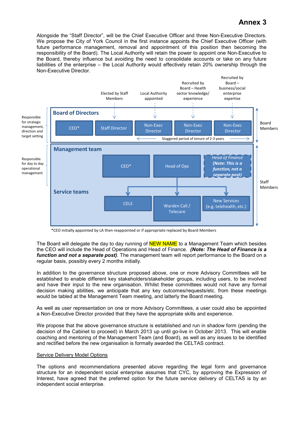Alongside the "Staff Director", will be the Chief Executive Officer and three Non-Executive Directors. We propose the City of York Council in the first instance appoints the Chief Executive Officer (with future performance management, removal and appointment of this position then becoming the responsibility of the Board). The Local Authority will retain the power to appoint one Non-Executive to the Board, thereby influence but avoiding the need to consolidate accounts or take on any future liabilities of the enterprise – the Local Authority would effectively retain 20% ownership through the Non-Executive Director.



\*CEO initially appointed by LA then reappointed or if appropriate replaced by Board Members

The Board will delegate the day to day running of NEW NAME to a Management Team which besides the CEO will include the Head of Operations and Head of Finance. *(Note: The Head of Finance is a function and not a separate post).* The management team will report performance to the Board on a regular basis, possibly every 2 months initially.

In addition to the governance structure proposed above, one or more Advisory Committees will be established to enable different key stakeholders/stakeholder groups, including users, to be involved and have their input to the new organisation. Whilst these committees would not have any formal decision making abilities, we anticipate that any key outcomes/requests/etc. from these meetings would be tabled at the Management Team meeting, and latterly the Board meeting.

As well as user representation on one or more Advisory Committees, a user could also be appointed a Non-Executive Director provided that they have the appropriate skills and experience.

We propose that the above governance structure is established and run in shadow form (pending the decision of the Cabinet to proceed) in March 2013 up until go-live in October 2013. This will enable coaching and mentoring of the Management Team (and Board), as well as any issues to be identified and rectified before the new organisation is formally awarded the CELTAS contract.

#### Service Delivery Model Options

The options and recommendations presented above regarding the legal form and governance structure for an independent social enterprise assumes that CYC, by approving the Expression of Interest, have agreed that the preferred option for the future service delivery of CELTAS is by an independent social enterprise.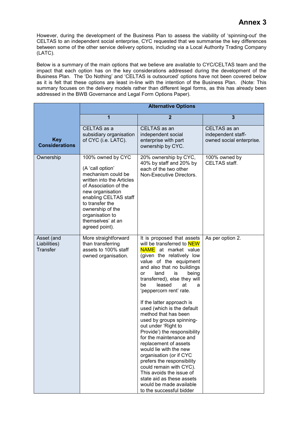However, during the development of the Business Plan to assess the viability of 'spinning-out' the CELTAS to an independent social enterprise, CYC requested that we summarise the key differences between some of the other service delivery options, including via a Local Authority Trading Company (LATC).

Below is a summary of the main options that we believe are available to CYC/CELTAS team and the impact that each option has on the key considerations addressed during the development of the Business Plan. The 'Do Nothing' and 'CELTAS is outsourced' options have not been covered below as it is felt that these options are least in-line with the intention of the Business Plan. (Note: This summary focuses on the delivery models rather than different legal forms, as this has already been addressed in the BWB Governance and Legal Form Options Paper).

|                                               | <b>Alternative Options</b>                                                                                                                                                                                                                                      |                                                                                                                                                                                                                                                                                                                                                                                                                                                                                                                                                                                                                                                                                                                                                         |                                                                |  |  |
|-----------------------------------------------|-----------------------------------------------------------------------------------------------------------------------------------------------------------------------------------------------------------------------------------------------------------------|---------------------------------------------------------------------------------------------------------------------------------------------------------------------------------------------------------------------------------------------------------------------------------------------------------------------------------------------------------------------------------------------------------------------------------------------------------------------------------------------------------------------------------------------------------------------------------------------------------------------------------------------------------------------------------------------------------------------------------------------------------|----------------------------------------------------------------|--|--|
|                                               | 1                                                                                                                                                                                                                                                               | $\overline{2}$                                                                                                                                                                                                                                                                                                                                                                                                                                                                                                                                                                                                                                                                                                                                          | $\overline{\mathbf{3}}$                                        |  |  |
| <b>Key</b><br><b>Considerations</b>           | CELTAS as a<br>subsidiary organisation<br>of CYC (i.e. LATC).                                                                                                                                                                                                   | CELTAS as an<br>independent social<br>enterprise with part<br>ownership by CYC.                                                                                                                                                                                                                                                                                                                                                                                                                                                                                                                                                                                                                                                                         | CELTAS as an<br>independent staff-<br>owned social enterprise. |  |  |
| Ownership                                     | 100% owned by CYC<br>(A 'call option'<br>mechanism could be<br>written into the Articles<br>of Association of the<br>new organisation<br>enabling CELTAS staff<br>to transfer the<br>ownership of the<br>organisation to<br>themselves' at an<br>agreed point). | 20% ownership by CYC,<br>40% by staff and 20% by<br>each of the two other<br>Non-Executive Directors.                                                                                                                                                                                                                                                                                                                                                                                                                                                                                                                                                                                                                                                   | 100% owned by<br>CELTAS staff.                                 |  |  |
| Asset (and<br>Liabilities)<br><b>Transfer</b> | More straightforward<br>than transferring<br>assets to 100% staff<br>owned organisation.                                                                                                                                                                        | It is proposed that assets<br>will be transferred to NEW<br><b>NAME</b> at market value<br>(given the relatively low<br>value of the equipment<br>and also that no buildings<br>land<br>is<br>being<br>or<br>transferred), else they will<br>at<br>be<br>leased<br>a<br>'peppercorn rent' rate.<br>If the latter approach is<br>used (which is the default<br>method that has been<br>used by groups spinning-<br>out under 'Right to<br>Provide') the responsibility<br>for the maintenance and<br>replacement of assets<br>would lie with the new<br>organisation (or if CYC<br>prefers the responsibility<br>could remain with CYC).<br>This avoids the issue of<br>state aid as these assets<br>would be made available<br>to the successful bidder | As per option 2.                                               |  |  |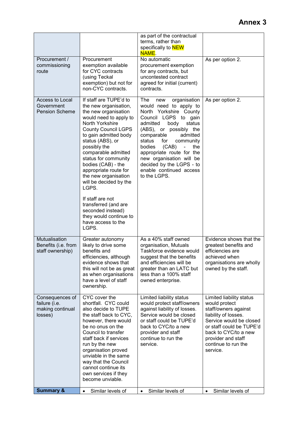|                                                                 |                                                                                                                                                                                                                                                                                                                                                                                                                                                                                                    | as part of the contractual<br>terms, rather than<br>specifically to NEW<br><b>NAME.</b>                                                                                                                                                                                                                                                                                                               |                                                                                                                                                                                                                                   |
|-----------------------------------------------------------------|----------------------------------------------------------------------------------------------------------------------------------------------------------------------------------------------------------------------------------------------------------------------------------------------------------------------------------------------------------------------------------------------------------------------------------------------------------------------------------------------------|-------------------------------------------------------------------------------------------------------------------------------------------------------------------------------------------------------------------------------------------------------------------------------------------------------------------------------------------------------------------------------------------------------|-----------------------------------------------------------------------------------------------------------------------------------------------------------------------------------------------------------------------------------|
| Procurement /<br>commissioning<br>route                         | Procurement<br>exemption available<br>for CYC contracts<br>(using Teckal<br>exemption) but not for<br>non-CYC contracts.                                                                                                                                                                                                                                                                                                                                                                           | No automatic<br>procurement exemption<br>for any contracts, but<br>uncontested contract<br>agreed for initial (current)<br>contracts.                                                                                                                                                                                                                                                                 | As per option 2.                                                                                                                                                                                                                  |
| Access to Local<br>Government<br><b>Pension Scheme</b>          | If staff are TUPE'd to<br>the new organisation,<br>the new organisation<br>would need to apply to<br>North Yorkshire<br><b>County Council LGPS</b><br>to gain admitted body<br>status (ABS), or<br>possibly the<br>comparable admitted<br>status for community<br>bodies (CAB) - the<br>appropriate route for<br>the new organisation<br>will be decided by the<br>LGPS.<br>If staff are not<br>transferred (and are<br>seconded instead)<br>they would continue to<br>have access to the<br>LGPS. | The<br>organisation<br>new<br>would need to apply to<br>Yorkshire County<br>North<br>Council LGPS to gain<br>body<br>admitted<br>status<br>(ABS), or possibly the<br>comparable<br>admitted<br>for<br>status<br>community<br>bodies<br>(CAB)<br>the<br>$\blacksquare$<br>appropriate route for the<br>new organisation will be<br>decided by the LGPS - to<br>enable continued access<br>to the LGPS. | As per option 2.                                                                                                                                                                                                                  |
| Mutualisation<br>Benefits (i.e. from<br>staff ownership)        | Greater autonomy<br>likely to drive some<br>benefits and<br>efficiencies, although<br>evidence shows that<br>this will not be as great<br>as when organisations<br>have a level of staff<br>ownership.                                                                                                                                                                                                                                                                                             | As a 40% staff owned<br>organisation, Mutuals<br>Taskforce evidence would<br>suggest that the benefits<br>and efficiencies will be<br>greater than an LATC but<br>less than a 100% staff<br>owned enterprise.                                                                                                                                                                                         | Evidence shows that the<br>greatest benefits and<br>efficiencies are<br>achieved when<br>organisations are wholly<br>owned by the staff.                                                                                          |
| Consequences of<br>failure (i.e.<br>making continual<br>losses) | CYC cover the<br>shortfall. CYC could<br>also decide to TUPE<br>the staff back to CYC,<br>however, there would<br>be no onus on the<br>Council to transfer<br>staff back if services<br>run by the new<br>organisation proved<br>unviable in the same<br>way that the Council<br>cannot continue its<br>own services if they<br>become unviable.                                                                                                                                                   | Limited liability status<br>would protect staff/owners<br>against liability of losses.<br>Service would be closed<br>or staff could be TUPE'd<br>back to CYC/to a new<br>provider and staff<br>continue to run the<br>service.                                                                                                                                                                        | Limited liability status<br>would protect<br>staff/owners against<br>liability of losses.<br>Service would be closed<br>or staff could be TUPE'd<br>back to CYC/to a new<br>provider and staff<br>continue to run the<br>service. |
| <b>Summary &amp;</b>                                            | Similar levels of<br>$\bullet$                                                                                                                                                                                                                                                                                                                                                                                                                                                                     | Similar levels of<br>$\bullet$                                                                                                                                                                                                                                                                                                                                                                        | Similar levels of<br>$\bullet$                                                                                                                                                                                                    |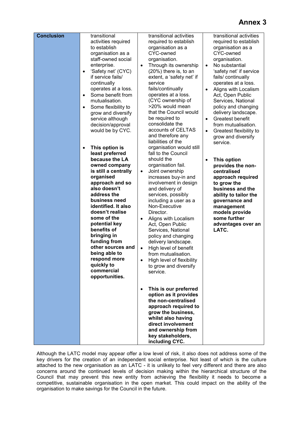| <b>Conclusion</b> | transitional<br>activities required<br>to establish<br>organisation as a<br>staff-owned social<br>enterprise.<br>'Safety net' (CYC)<br>$\bullet$<br>if service fails/<br>continually<br>operates at a loss.<br>Some benefit from<br>$\bullet$<br>mutualisation.<br>Some flexibility to<br>$\bullet$<br>grow and diversify<br>service although<br>decision/approval<br>would be by CYC.                                | transitional activities<br>required to establish<br>organisation as a<br>CYC-owned<br>organisation.<br>Through its ownership<br>$\bullet$<br>(20%) there is, to an<br>extent, a 'safety net' if<br>service<br>fails/continually<br>operates at a loss.<br>(CYC ownership of<br>>20% would mean<br>that the Council would<br>be required to<br>consolidate the<br>accounts of CELTAS<br>and therefore any<br>liabilities of the                                                                                                   | transitional activities<br>required to establish<br>organisation as a<br>CYC-owned<br>organisation.<br>No substantial<br>$\bullet$<br>'safety net' if service<br>fails/continually<br>operates at a loss.<br>Aligns with Localism<br>Act, Open Public<br>Services, National<br>policy and changing<br>delivery landscape.<br>Greatest benefit<br>$\bullet$<br>from mutualisation.<br>Greatest flexibility to<br>$\bullet$<br>grow and diversify<br>service. |
|-------------------|-----------------------------------------------------------------------------------------------------------------------------------------------------------------------------------------------------------------------------------------------------------------------------------------------------------------------------------------------------------------------------------------------------------------------|----------------------------------------------------------------------------------------------------------------------------------------------------------------------------------------------------------------------------------------------------------------------------------------------------------------------------------------------------------------------------------------------------------------------------------------------------------------------------------------------------------------------------------|-------------------------------------------------------------------------------------------------------------------------------------------------------------------------------------------------------------------------------------------------------------------------------------------------------------------------------------------------------------------------------------------------------------------------------------------------------------|
|                   | This option is<br>$\bullet$<br>least preferred<br>because the LA<br>owned company<br>is still a centrally<br>organised<br>approach and so<br>also doesn't<br>address the<br>business need<br>identified. It also<br>doesn't realise<br>some of the<br>potential key<br>benefits of<br>bringing in<br>funding from<br>other sources and<br>being able to<br>respond more<br>quickly to<br>commercial<br>opportunities. | organisation would still<br>fall to the Council<br>should the<br>organisation fail.<br>Joint ownership<br>$\bullet$<br>increases buy-in and<br>involvement in design<br>and delivery of<br>services, possibly<br>including a user as a<br>Non-Executive<br>Director.<br>Aligns with Localism<br>$\bullet$<br>Act, Open Public<br>Services, National<br>policy and changing<br>delivery landscape.<br>High level of benefit<br>$\bullet$<br>from mutualisation.<br>High level of flexibility<br>to grow and diversify<br>service. | This option<br>provides the non-<br>centralised<br>approach required<br>to grow the<br>business and the<br>ability to tailor the<br>governance and<br>management<br>models provide<br>some further<br>advantages over an<br>LATC.                                                                                                                                                                                                                           |
|                   |                                                                                                                                                                                                                                                                                                                                                                                                                       | This is our preferred<br>$\bullet$<br>option as it provides<br>the non-centralised<br>approach required to<br>grow the business,<br>whilst also having<br>direct involvement<br>and ownership from<br>key stakeholders,<br>including CYC.                                                                                                                                                                                                                                                                                        |                                                                                                                                                                                                                                                                                                                                                                                                                                                             |

Although the LATC model may appear offer a low level of risk, it also does not address some of the key drivers for the creation of an independent social enterprise. Not least of which is the culture attached to the new organisation as an LATC - it is unlikely to feel very different and there are also concerns around the continued levels of decision making within the hierarchical structure of the Council that may prevent this new entity from achieving the flexibility it needs to become a competitive, sustainable organisation in the open market. This could impact on the ability of the organisation to make savings for the Council in the future.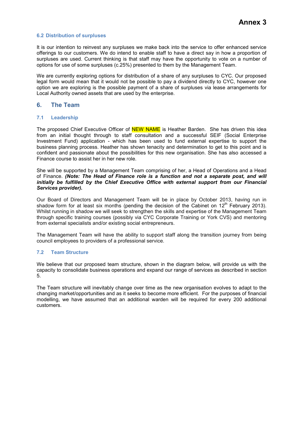### **6.2 Distribution of surpluses**

It is our intention to reinvest any surpluses we make back into the service to offer enhanced service offerings to our customers. We do intend to enable staff to have a direct say in how a proportion of surpluses are used. Current thinking is that staff may have the opportunity to vote on a number of options for use of some surpluses (c.25%) presented to them by the Management Team.

We are currently exploring options for distribution of a share of any surpluses to CYC. Our proposed legal form would mean that it would not be possible to pay a dividend directly to CYC, however one option we are exploring is the possible payment of a share of surpluses via lease arrangements for Local Authority owned assets that are used by the enterprise.

# **6. The Team**

# **7.1 Leadership**

The proposed Chief Executive Officer of **NEW NAME** is Heather Barden. She has driven this idea from an initial thought through to staff consultation and a successful SEIF (Social Enterprise Investment Fund) application - which has been used to fund external expertise to support the business planning process. Heather has shown tenacity and determination to get to this point and is confident and passionate about the possibilities for this new organisation. She has also accessed a Finance course to assist her in her new role.

She will be supported by a Management Team comprising of her, a Head of Operations and a Head of Finance. *(Note: The Head of Finance role is a function and not a separate post, and will initially be fulfilled by the Chief Executive Office with external support from our Financial Services provider).* 

Our Board of Directors and Management Team will be in place by October 2013, having run in shadow form for at least six months (pending the decision of the Cabinet on  $12<sup>th</sup>$  February 2013). Whilst running in shadow we will seek to strengthen the skills and expertise of the Management Team through specific training courses (possibly via CYC Corporate Training or York CVS) and mentoring from external specialists and/or existing social entrepreneurs.

The Management Team will have the ability to support staff along the transition journey from being council employees to providers of a professional service.

#### **7.2 Team Structure**

We believe that our proposed team structure, shown in the diagram below, will provide us with the capacity to consolidate business operations and expand our range of services as described in section 5.

The Team structure will inevitably change over time as the new organisation evolves to adapt to the changing market/opportunities and as it seeks to become more efficient. For the purposes of financial modelling, we have assumed that an additional warden will be required for every 200 additional customers.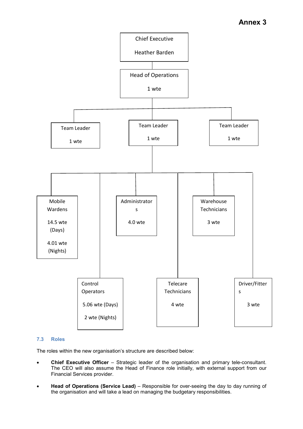

# **7.3 Roles**

The roles within the new organisation's structure are described below:

- **Chief Executive Officer** Strategic leader of the organisation and primary tele-consultant. The CEO will also assume the Head of Finance role initially, with external support from our Financial Services provider.
- **Head of Operations (Service Lead)** Responsible for over-seeing the day to day running of the organisation and will take a lead on managing the budgetary responsibilities.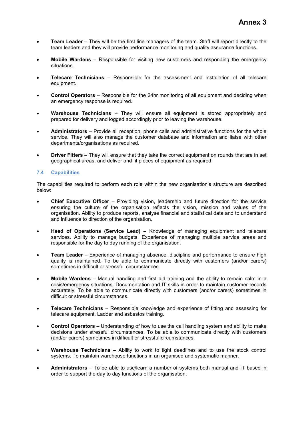- **Team Leader** They will be the first line managers of the team. Staff will report directly to the team leaders and they will provide performance monitoring and quality assurance functions.
- **Mobile Wardens** Responsible for visiting new customers and responding the emergency situations.
- **Telecare Technicians** Responsible for the assessment and installation of all telecare equipment.
- **Control Operators** Responsible for the 24hr monitoring of all equipment and deciding when an emergency response is required.
- **Warehouse Technicians** They will ensure all equipment is stored appropriately and prepared for delivery and logged accordingly prior to leaving the warehouse.
- **Administrators** Provide all reception, phone calls and administrative functions for the whole service. They will also manage the customer database and information and liaise with other departments/organisations as required.
- **Driver Fitters** They will ensure that they take the correct equipment on rounds that are in set geographical areas, and deliver and fit pieces of equipment as required.

# **7.4 Capabilities**

The capabilities required to perform each role within the new organisation's structure are described below:

- **Chief Executive Officer** Providing vision, leadership and future direction for the service ensuring the culture of the organisation reflects the vision, mission and values of the organisation. Ability to produce reports, analyse financial and statistical data and to understand and influence to direction of the organisation.
- **Head of Operations (Service Lead)** Knowledge of managing equipment and telecare services. Ability to manage budgets. Experience of managing multiple service areas and responsible for the day to day running of the organisation.
- **Team Leader** Experience of managing absence, discipline and performance to ensure high quality is maintained. To be able to communicate directly with customers (and/or carers) sometimes in difficult or stressful circumstances.
- **Mobile Wardens** Manual handling and first aid training and the ability to remain calm in a crisis/emergency situations. Documentation and IT skills in order to maintain customer records accurately. To be able to communicate directly with customers (and/or carers) sometimes in difficult or stressful circumstances.
- **Telecare Technicians** Responsible knowledge and experience of fitting and assessing for telecare equipment. Ladder and asbestos training.
- **Control Operators** Understanding of how to use the call handling system and ability to make decisions under stressful circumstances. To be able to communicate directly with customers (and/or carers) sometimes in difficult or stressful circumstances.
- **Warehouse Technicians** Ability to work to tight deadlines and to use the stock control systems. To maintain warehouse functions in an organised and systematic manner.
- **Administrators** To be able to use/learn a number of systems both manual and IT based in order to support the day to day functions of the organisation.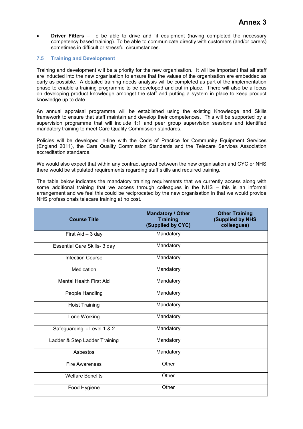• **Driver Fitters** – To be able to drive and fit equipment (having completed the necessary competency based training). To be able to communicate directly with customers (and/or carers) sometimes in difficult or stressful circumstances.

# **7.5 Training and Development**

Training and development will be a priority for the new organisation. It will be important that all staff are inducted into the new organisation to ensure that the values of the organisation are embedded as early as possible. A detailed training needs analysis will be completed as part of the implementation phase to enable a training programme to be developed and put in place. There will also be a focus on developing product knowledge amongst the staff and putting a system in place to keep product knowledge up to date.

An annual appraisal programme will be established using the existing Knowledge and Skills framework to ensure that staff maintain and develop their competences. This will be supported by a supervision programme that will include 1:1 and peer group supervision sessions and identified mandatory training to meet Care Quality Commission standards.

Policies will be developed in-line with the Code of Practice for Community Equipment Services (England 2011), the Care Quality Commission Standards and the Telecare Services Association accreditation standards.

We would also expect that within any contract agreed between the new organisation and CYC or NHS there would be stipulated requirements regarding staff skills and required training.

The table below indicates the mandatory training requirements that we currently access along with some additional training that we access through colleagues in the NHS – this is an informal arrangement and we feel this could be reciprocated by the new organisation in that we would provide NHS professionals telecare training at no cost.

| <b>Course Title</b>            | <b>Mandatory / Other</b><br><b>Training</b><br>(Supplied by CYC) | <b>Other Training</b><br>(Supplied by NHS<br>colleagues) |
|--------------------------------|------------------------------------------------------------------|----------------------------------------------------------|
| First Aid - 3 day              | Mandatory                                                        |                                                          |
| Essential Care Skills- 3 day   | Mandatory                                                        |                                                          |
| <b>Infection Course</b>        | Mandatory                                                        |                                                          |
| Medication                     | Mandatory                                                        |                                                          |
| <b>Mental Health First Aid</b> | Mandatory                                                        |                                                          |
| People Handling                | Mandatory                                                        |                                                          |
| <b>Hoist Training</b>          | Mandatory                                                        |                                                          |
| Lone Working                   | Mandatory                                                        |                                                          |
| Safeguarding - Level 1 & 2     | Mandatory                                                        |                                                          |
| Ladder & Step Ladder Training  | Mandatory                                                        |                                                          |
| Asbestos                       | Mandatory                                                        |                                                          |
| <b>Fire Awareness</b>          | Other                                                            |                                                          |
| <b>Welfare Benefits</b>        | Other                                                            |                                                          |
| Food Hygiene                   | Other                                                            |                                                          |